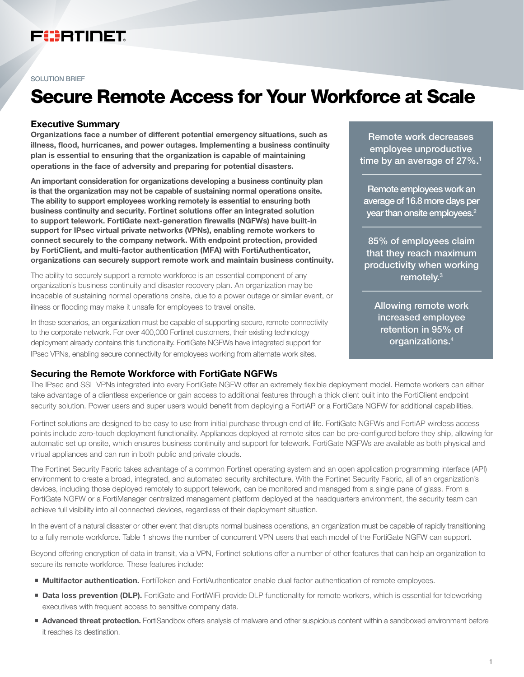# FURTINET

#### SOLUTION BRIEF

# Secure Remote Access for Your Workforce at Scale

#### Executive Summary

Organizations face a number of different potential emergency situations, such as illness, flood, hurricanes, and power outages. Implementing a business continuity plan is essential to ensuring that the organization is capable of maintaining operations in the face of adversity and preparing for potential disasters.

An important consideration for organizations developing a business continuity plan is that the organization may not be capable of sustaining normal operations onsite. The ability to support employees working remotely is essential to ensuring both business continuity and security. Fortinet solutions offer an integrated solution to support telework. FortiGate next-generation firewalls (NGFWs) have built-in support for IPsec virtual private networks (VPNs), enabling remote workers to connect securely to the company network. With endpoint protection, provided by FortiClient, and multi-factor authentication (MFA) with FortiAuthenticator, organizations can securely support remote work and maintain business continuity.

The ability to securely support a remote workforce is an essential component of any organization's business continuity and disaster recovery plan. An organization may be incapable of sustaining normal operations onsite, due to a power outage or similar event, or illness or flooding may make it unsafe for employees to travel onsite.

In these scenarios, an organization must be capable of supporting secure, remote connectivity to the corporate network. For over 400,000 Fortinet customers, their existing technology deployment already contains this functionality. FortiGate NGFWs have integrated support for IPsec VPNs, enabling secure connectivity for employees working from alternate work sites.

Remote work decreases employee unproductive time by an average of  $27\%$ .<sup>1</sup>

Remote employees work an average of 16.8 more days per year than onsite employees. $2$ 

85% of employees claim that they reach maximum productivity when working remotely.3

Allowing remote work increased employee retention in 95% of organizations.4

## Securing the Remote Workforce with FortiGate NGFWs

The IPsec and SSL VPNs integrated into every FortiGate NGFW offer an extremely flexible deployment model. Remote workers can either take advantage of a clientless experience or gain access to additional features through a thick client built into the FortiClient endpoint security solution. Power users and super users would benefit from deploying a FortiAP or a FortiGate NGFW for additional capabilities.

Fortinet solutions are designed to be easy to use from initial purchase through end of life. FortiGate NGFWs and FortiAP wireless access points include zero-touch deployment functionality. Appliances deployed at remote sites can be pre-configured before they ship, allowing for automatic set up onsite, which ensures business continuity and support for telework. FortiGate NGFWs are available as both physical and virtual appliances and can run in both public and private clouds.

The Fortinet Security Fabric takes advantage of a common Fortinet operating system and an open application programming interface (API) environment to create a broad, integrated, and automated security architecture. With the Fortinet Security Fabric, all of an organization's devices, including those deployed remotely to support telework, can be monitored and managed from a single pane of glass. From a FortiGate NGFW or a FortiManager centralized management platform deployed at the headquarters environment, the security team can achieve full visibility into all connected devices, regardless of their deployment situation.

In the event of a natural disaster or other event that disrupts normal business operations, an organization must be capable of rapidly transitioning to a fully remote workforce. Table 1 shows the number of concurrent VPN users that each model of the FortiGate NGFW can support.

Beyond offering encryption of data in transit, via a VPN, Fortinet solutions offer a number of other features that can help an organization to secure its remote workforce. These features include:

- **Multifactor authentication.** FortiToken and FortiAuthenticator enable dual factor authentication of remote employees.
- **Data loss prevention (DLP).** FortiGate and FortiWiFi provide DLP functionality for remote workers, which is essential for teleworking executives with frequent access to sensitive company data.
- **Advanced threat protection.** FortiSandbox offers analysis of malware and other suspicious content within a sandboxed environment before it reaches its destination.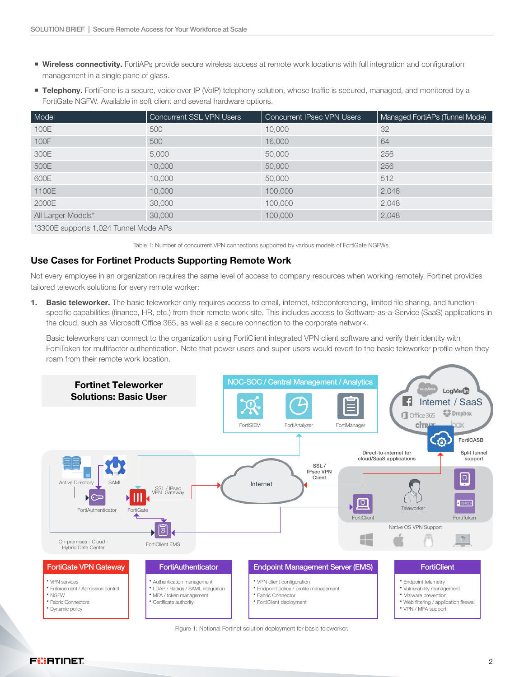- **Wireless connectivity.** FortiAPs provide secure wireless access at remote work locations with full integration and configuration management in a single pane of glass.
- **Telephony.** FortiFone is a secure, voice over IP (VoIP) telephony solution, whose traffic is secured, managed, and monitored by a FortiGate NGFW. Available in soft client and several hardware options.

| Model                                 | Concurrent SSL VPN Users | <b>Concurrent IPsec VPN Users</b> | Managed FortiAPs (Tunnel Mode) |
|---------------------------------------|--------------------------|-----------------------------------|--------------------------------|
| 100E                                  | 500                      | 10,000                            | 32                             |
| 100F                                  | 500                      | 16,000                            | 64                             |
| 300E                                  | 5,000                    | 50,000                            | 256                            |
| 500E                                  | 10,000                   | 50,000                            | 256                            |
| 600E                                  | 10,000                   | 50,000                            | 512                            |
| 1100E                                 | 10,000                   | 100,000                           | 2,048                          |
| 2000E                                 | 30,000                   | 100,000                           | 2,048                          |
| All Larger Models*                    | 30,000                   | 100,000                           | 2,048                          |
| *3300E supports 1,024 Tunnel Mode APs |                          |                                   |                                |

Table 1: Number of concurrent VPN connections supported by various models of FortiGate NGFWs.

## Use Cases for Fortinet Products Supporting Remote Work

Not every employee in an organization requires the same level of access to company resources when working remotely. Fortinet provides tailored telework solutions for every remote worker:

1. Basic teleworker. The basic teleworker only requires access to email, internet, teleconferencing, limited file sharing, and functionspecific capabilities (finance, HR, etc.) from their remote work site. This includes access to Software-as-a-Service (SaaS) applications in the cloud, such as Microsoft Office 365, as well as a secure connection to the corporate network.

Basic teleworkers can connect to the organization using FortiClient integrated VPN client software and verify their identity with FortiToken for multifactor authentication. Note that power users and super users would revert to the basic teleworker profile when they roam from their remote work location.



Figure 1: Notional Fortinet solution deployment for basic teleworker.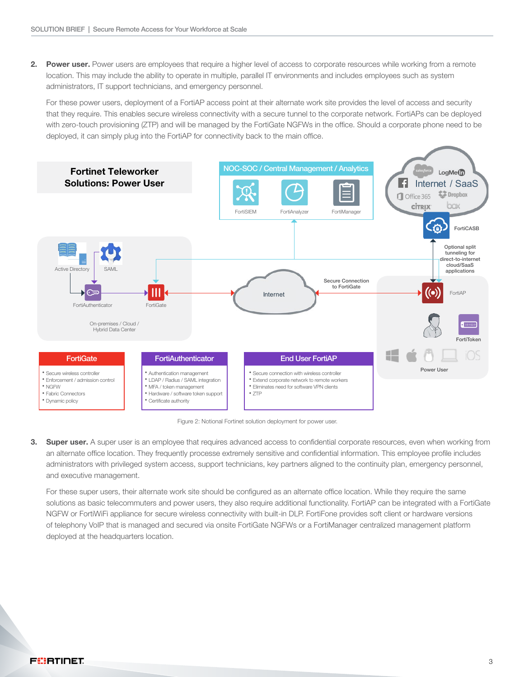2. Power user. Power users are employees that require a higher level of access to corporate resources while working from a remote location. This may include the ability to operate in multiple, parallel IT environments and includes employees such as system administrators, IT support technicians, and emergency personnel.

For these power users, deployment of a FortiAP access point at their alternate work site provides the level of access and security that they require. This enables secure wireless connectivity with a secure tunnel to the corporate network. FortiAPs can be deployed with zero-touch provisioning (ZTP) and will be managed by the FortiGate NGFWs in the office. Should a corporate phone need to be deployed, it can simply plug into the FortiAP for connectivity back to the main office.



Figure 2: Notional Fortinet solution deployment for power user.

3. Super user. A super user is an employee that requires advanced access to confidential corporate resources, even when working from an alternate office location. They frequently processe extremely sensitive and confidential information. This employee profile includes administrators with privileged system access, support technicians, key partners aligned to the continuity plan, emergency personnel, and executive management.

For these super users, their alternate work site should be configured as an alternate office location. While they require the same solutions as basic telecommuters and power users, they also require additional functionality. FortiAP can be integrated with a FortiGate NGFW or FortiWiFi appliance for secure wireless connectivity with built-in DLP. FortiFone provides soft client or hardware versions of telephony VoIP that is managed and secured via onsite FortiGate NGFWs or a FortiManager centralized management platform deployed at the headquarters location.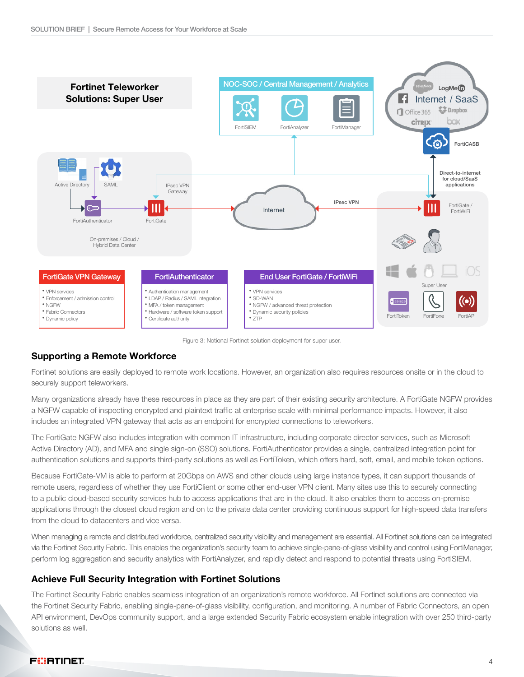

Figure 3: Notional Fortinet solution deployment for super user.

## Supporting a Remote Workforce

Fortinet solutions are easily deployed to remote work locations. However, an organization also requires resources onsite or in the cloud to securely support teleworkers.

Many organizations already have these resources in place as they are part of their existing security architecture. A FortiGate NGFW provides a NGFW capable of inspecting encrypted and plaintext traffic at enterprise scale with minimal performance impacts. However, it also includes an integrated VPN gateway that acts as an endpoint for encrypted connections to teleworkers.

The FortiGate NGFW also includes integration with common IT infrastructure, including corporate director services, such as Microsoft Active Directory (AD), and MFA and single sign-on (SSO) solutions. FortiAuthenticator provides a single, centralized integration point for authentication solutions and supports third-party solutions as well as FortiToken, which offers hard, soft, email, and mobile token options.

Because FortiGate-VM is able to perform at 20Gbps on AWS and other clouds using large instance types, it can support thousands of remote users, regardless of whether they use FortiClient or some other end-user VPN client. Many sites use this to securely connecting to a public cloud-based security services hub to access applications that are in the cloud. It also enables them to access on-premise applications through the closest cloud region and on to the private data center providing continuous support for high-speed data transfers from the cloud to datacenters and vice versa.

When managing a remote and distributed workforce, centralized security visibility and management are essential. All Fortinet solutions can be integrated via the Fortinet Security Fabric. This enables the organization's security team to achieve single-pane-of-glass visibility and control using FortiManager, perform log aggregation and security analytics with FortiAnalyzer, and rapidly detect and respond to potential threats using FortiSIEM.

#### Achieve Full Security Integration with Fortinet Solutions

The Fortinet Security Fabric enables seamless integration of an organization's remote workforce. All Fortinet solutions are connected via the Fortinet Security Fabric, enabling single-pane-of-glass visibility, configuration, and monitoring. A number of Fabric Connectors, an open API environment, DevOps community support, and a large extended Security Fabric ecosystem enable integration with over 250 third-party solutions as well.